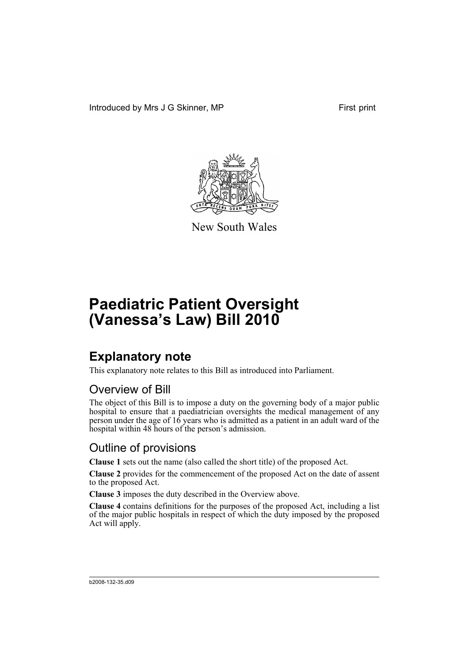Introduced by Mrs J G Skinner, MP First print



New South Wales

# **Paediatric Patient Oversight (Vanessa's Law) Bill 2010**

## **Explanatory note**

This explanatory note relates to this Bill as introduced into Parliament.

### Overview of Bill

The object of this Bill is to impose a duty on the governing body of a major public hospital to ensure that a paediatrician oversights the medical management of any person under the age of 16 years who is admitted as a patient in an adult ward of the hospital within 48 hours of the person's admission.

### Outline of provisions

**Clause 1** sets out the name (also called the short title) of the proposed Act.

**Clause 2** provides for the commencement of the proposed Act on the date of assent to the proposed Act.

**Clause 3** imposes the duty described in the Overview above.

**Clause 4** contains definitions for the purposes of the proposed Act, including a list of the major public hospitals in respect of which the duty imposed by the proposed Act will apply.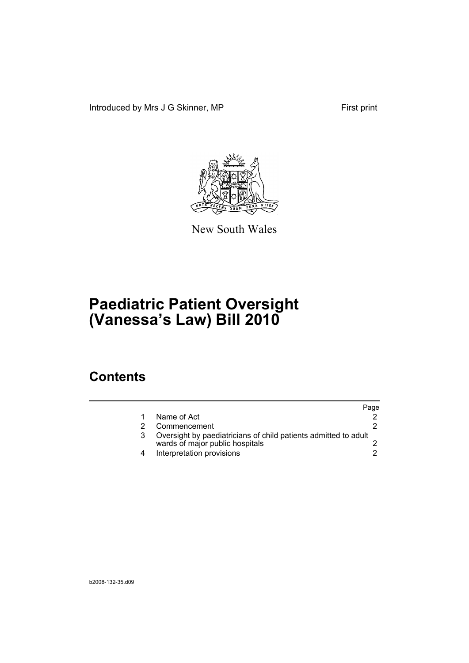Introduced by Mrs J G Skinner, MP First print



New South Wales

## **Paediatric Patient Oversight (Vanessa's Law) Bill 2010**

## **Contents**

|   |                                                                                                    | Page |
|---|----------------------------------------------------------------------------------------------------|------|
|   | Name of Act                                                                                        |      |
|   | Commencement                                                                                       |      |
|   | Oversight by paediatricians of child patients admitted to adult<br>wards of major public hospitals |      |
| 4 | Interpretation provisions                                                                          |      |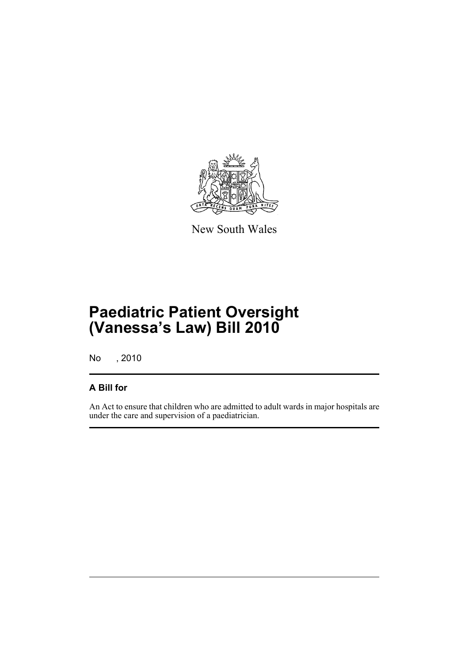

New South Wales

## **Paediatric Patient Oversight (Vanessa's Law) Bill 2010**

No , 2010

### **A Bill for**

An Act to ensure that children who are admitted to adult wards in major hospitals are under the care and supervision of a paediatrician.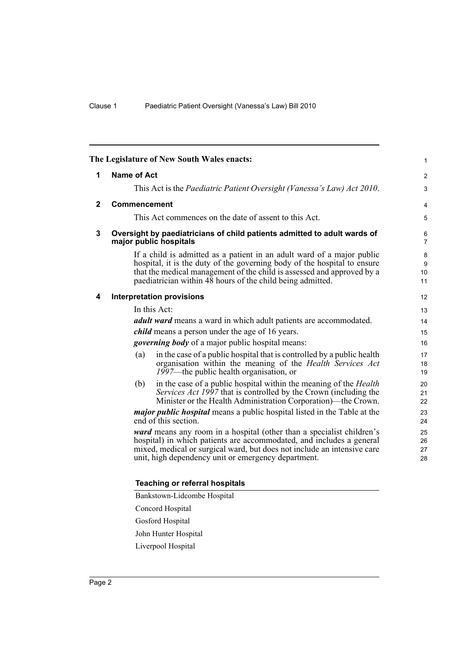<span id="page-5-3"></span><span id="page-5-2"></span><span id="page-5-1"></span><span id="page-5-0"></span>

| The Legislature of New South Wales enacts: |                                                                                                                                                                                                                                                                                            |                                   |
|--------------------------------------------|--------------------------------------------------------------------------------------------------------------------------------------------------------------------------------------------------------------------------------------------------------------------------------------------|-----------------------------------|
| 1                                          | <b>Name of Act</b>                                                                                                                                                                                                                                                                         | $\overline{2}$                    |
|                                            | This Act is the Paediatric Patient Oversight (Vanessa's Law) Act 2010.                                                                                                                                                                                                                     | 3                                 |
| $\mathbf{2}$                               | Commencement                                                                                                                                                                                                                                                                               | 4                                 |
|                                            | This Act commences on the date of assent to this Act.                                                                                                                                                                                                                                      | 5                                 |
| 3                                          | Oversight by paediatricians of child patients admitted to adult wards of<br>major public hospitals                                                                                                                                                                                         | 6<br>$\overline{7}$               |
|                                            | If a child is admitted as a patient in an adult ward of a major public<br>hospital, it is the duty of the governing body of the hospital to ensure<br>that the medical management of the child is assessed and approved by a<br>paediatrician within 48 hours of the child being admitted. | 8<br>$\boldsymbol{9}$<br>10<br>11 |
| 4                                          | <b>Interpretation provisions</b>                                                                                                                                                                                                                                                           | 12                                |
|                                            | In this Act:                                                                                                                                                                                                                                                                               | 13                                |
|                                            | <i>adult ward</i> means a ward in which adult patients are accommodated.                                                                                                                                                                                                                   | 14                                |
|                                            | <i>child</i> means a person under the age of 16 years.                                                                                                                                                                                                                                     | 15                                |
|                                            | <i>governing body</i> of a major public hospital means:                                                                                                                                                                                                                                    | 16                                |
|                                            | in the case of a public hospital that is controlled by a public health<br>(a)<br>organisation within the meaning of the Health Services Act<br>1997—the public health organisation, or                                                                                                     | 17<br>18<br>19                    |
|                                            | in the case of a public hospital within the meaning of the Health<br>(b)<br>Services Act 1997 that is controlled by the Crown (including the<br>Minister or the Health Administration Corporation)—the Crown.                                                                              | 20<br>21<br>22                    |
|                                            | <i>major public hospital</i> means a public hospital listed in the Table at the<br>end of this section.                                                                                                                                                                                    | 23<br>24                          |
|                                            | ward means any room in a hospital (other than a specialist children's<br>hospital) in which patients are accommodated, and includes a general<br>mixed, medical or surgical ward, but does not include an intensive care<br>unit, high dependency unit or emergency department.            | 25<br>26<br>27<br>28              |

#### **Teaching or referral hospitals**

Bankstown-Lidcombe Hospital

- Concord Hospital
- Gosford Hospital

John Hunter Hospital

Liverpool Hospital